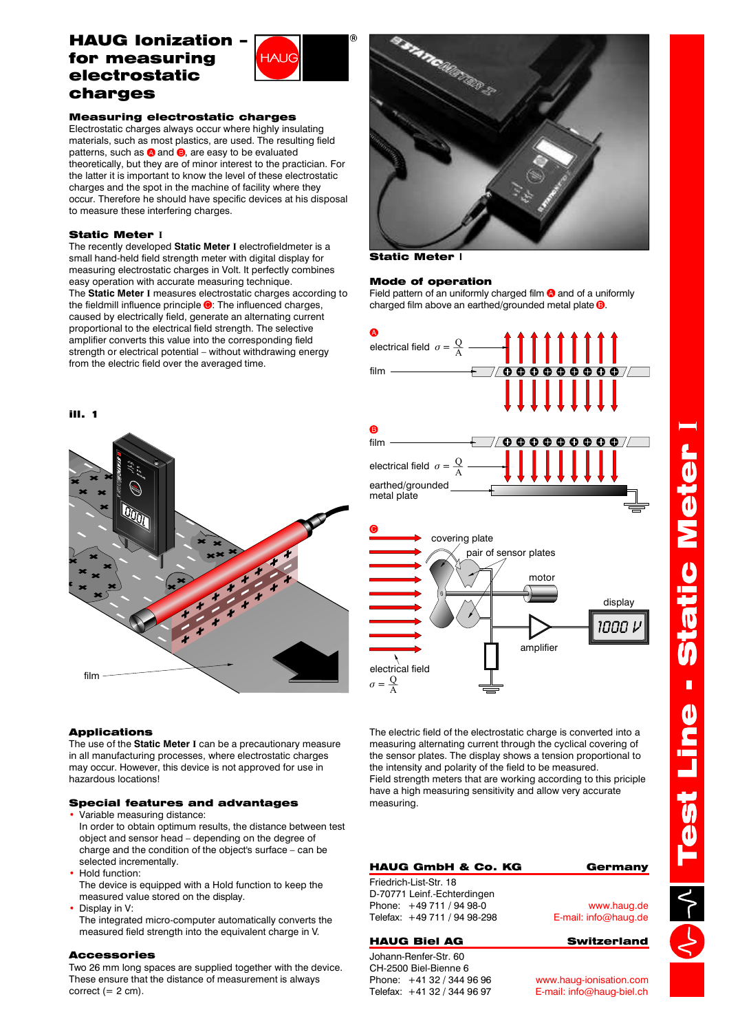# HAUG Ionization – for measuring electrostatic charges



### Measuring electrostatic charges

Electrostatic charges always occur where highly insulating materials, such as most plastics, are used. The resulting field patterns, such as  $\bigcirc$  and  $\bigcirc$ , are easy to be evaluated theoretically, but they are of minor interest to the practician. For the latter it is important to know the level of these electrostatic charges and the spot in the machine of facility where they occur. Therefore he should have specific devices at his disposal to measure these interfering charges.

### Static Meter **I**

The Static Meter I measures electrostatic charges according to the fieldmill influence principle  $\bigcirc$ : The influenced charges, caused by electrically field, generate an alternating current proportional to the electrical field strength. The selective amplifier converts this value into the corresponding field strength or electrical potential – without withdrawing energy from the electric field over the averaged time. The recently developed Static Meter I electrofieldmeter is a small hand-held field strength meter with digital display for measuring electrostatic charges in Volt. It perfectly combines easy operation with accurate measuring technique.





### Applications

The use of the **Static Meter** I can be a precautionary measure in all manufacturing processes, where electrostatic charges may occur. However, this device is not approved for use in hazardous locations!

### Special features and advantages

- Variable measuring distance: In order to obtain optimum results, the distance between test object and sensor head – depending on the degree of charge and the condition of the object's surface – can be selected incrementally.
- Hold function: •

The device is equipped with a Hold function to keep the measured value stored on the display.

- Display in V: •
- The integrated micro-computer automatically converts the measured field strength into the equivalent charge in V.

### Accessories

Two 26 mm long spaces are supplied together with the device. These ensure that the distance of measurement is always correct  $(= 2 \text{ cm}).$ 



Static Meter **I**

### Mode of operation

Field pattern of an uniformly charged film  $\bullet$  and of a uniformly charged film above an earthed/grounded metal plate  $\mathbf 3$ .



The electric field of the electrostatic charge is converted into a measuring alternating current through the cyclical covering of the sensor plates. The display shows a tension proportional to the intensity and polarity of the field to be measured. Field strength meters that are working according to this priciple have a high measuring sensitivity and allow very accurate measuring.

# HAUG GmbH & Co. KG Germany

Friedrich-List-Str. 18 D-70771 Leinf.-Echterdingen Phone: +49 711 / 94 98-0 Telefax: +49 711 / 94 98-298

### HAUG Biel AG Switzerland

Johann-Renfer-Str. 60 CH-2500 Biel-Bienne 6 Phone: +41 32 / 344 96 96 Telefax: +41 32 / 344 96 97

www.haug.de E-mail: info@haug.de

www.haug-ionisation.com E-mail: info@haug-biel.ch